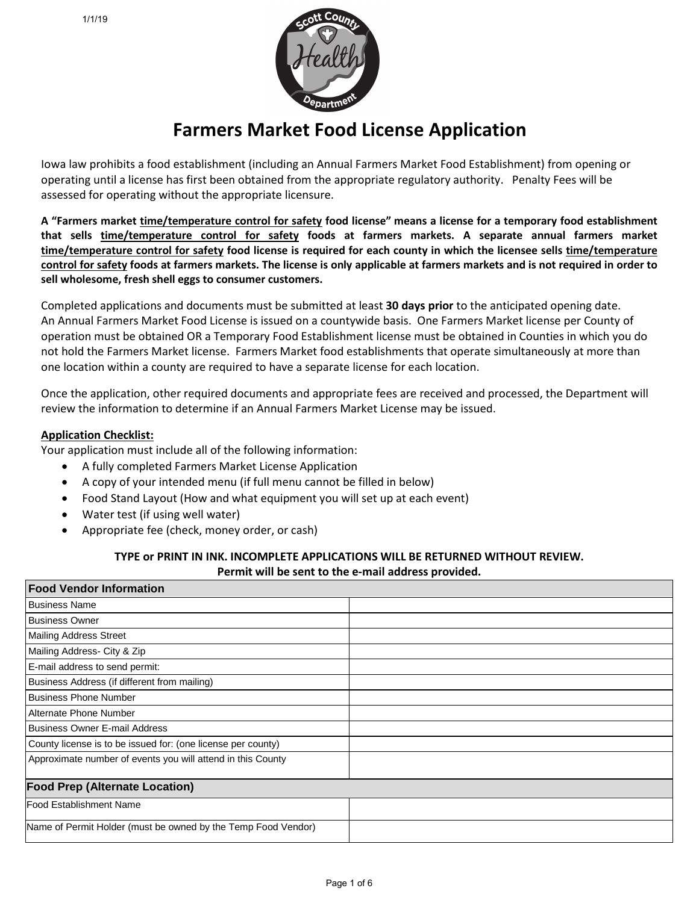

# **Farmers Market Food License Application**

Iowa law prohibits a food establishment (including an Annual Farmers Market Food Establishment) from opening or operating until a license has first been obtained from the appropriate regulatory authority. Penalty Fees will be assessed for operating without the appropriate licensure.

**A "Farmers market time/temperature control for safety food license" means a license for a temporary food establishment that sells time/temperature control for safety foods at farmers markets. A separate annual farmers market time/temperature control for safety food license is required for each county in which the licensee sells time/temperature control for safety foods at farmers markets. The license is only applicable at farmers markets and is not required in order to sell wholesome, fresh shell eggs to consumer customers.**

Completed applications and documents must be submitted at least **30 days prior** to the anticipated opening date. An Annual Farmers Market Food License is issued on a countywide basis. One Farmers Market license per County of operation must be obtained OR a Temporary Food Establishment license must be obtained in Counties in which you do not hold the Farmers Market license. Farmers Market food establishments that operate simultaneously at more than one location within a county are required to have a separate license for each location.

Once the application, other required documents and appropriate fees are received and processed, the Department will review the information to determine if an Annual Farmers Market License may be issued.

### **Application Checklist:**

Your application must include all of the following information:

- A fully completed Farmers Market License Application
- A copy of your intended menu (if full menu cannot be filled in below)
- Food Stand Layout (How and what equipment you will set up at each event)
- Water test (if using well water)
- Appropriate fee (check, money order, or cash)

#### **TYPE or PRINT IN INK. INCOMPLETE APPLICATIONS WILL BE RETURNED WITHOUT REVIEW. Permit will be sent to the e-mail address provided.**

| <b>Food Vendor Information</b>                                |  |  |
|---------------------------------------------------------------|--|--|
| <b>Business Name</b>                                          |  |  |
| l Business Owner                                              |  |  |
| <b>Mailing Address Street</b>                                 |  |  |
| Mailing Address- City & Zip                                   |  |  |
| E-mail address to send permit:                                |  |  |
| Business Address (if different from mailing)                  |  |  |
| Business Phone Number                                         |  |  |
| Alternate Phone Number                                        |  |  |
| Business Owner E-mail Address                                 |  |  |
| County license is to be issued for: (one license per county)  |  |  |
| Approximate number of events you will attend in this County   |  |  |
| <b>Food Prep (Alternate Location)</b>                         |  |  |
| <b>Food Establishment Name</b>                                |  |  |
| Name of Permit Holder (must be owned by the Temp Food Vendor) |  |  |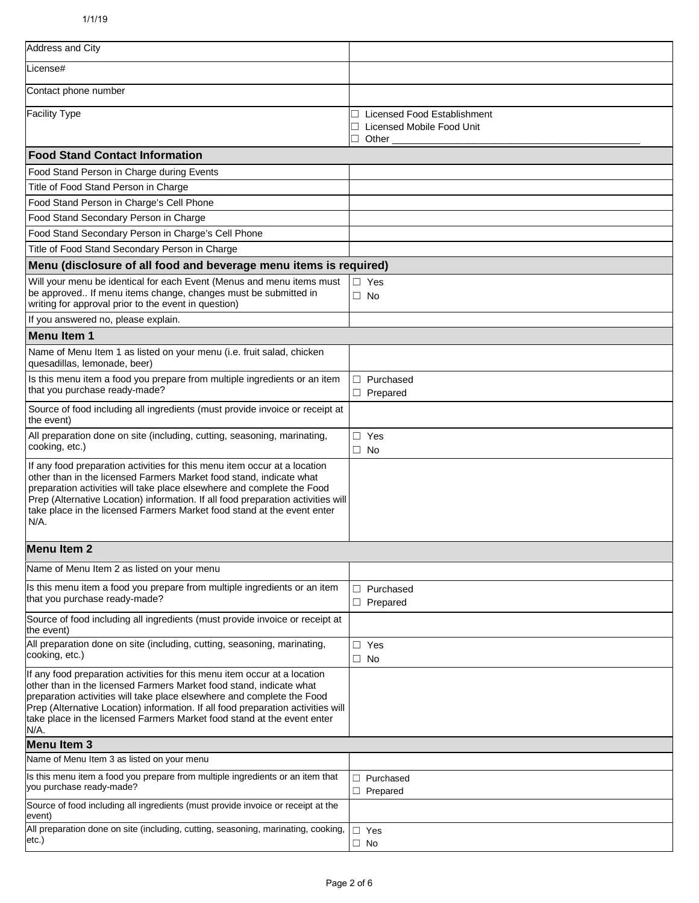| Address and City                                                                                                                                                                                                                                                                                                                                                                                  |                                                                     |
|---------------------------------------------------------------------------------------------------------------------------------------------------------------------------------------------------------------------------------------------------------------------------------------------------------------------------------------------------------------------------------------------------|---------------------------------------------------------------------|
| License#                                                                                                                                                                                                                                                                                                                                                                                          |                                                                     |
| Contact phone number                                                                                                                                                                                                                                                                                                                                                                              |                                                                     |
| <b>Facility Type</b>                                                                                                                                                                                                                                                                                                                                                                              | □ Licensed Food Establishment<br>Licensed Mobile Food Unit<br>Other |
| <b>Food Stand Contact Information</b>                                                                                                                                                                                                                                                                                                                                                             |                                                                     |
| Food Stand Person in Charge during Events                                                                                                                                                                                                                                                                                                                                                         |                                                                     |
| Title of Food Stand Person in Charge                                                                                                                                                                                                                                                                                                                                                              |                                                                     |
| Food Stand Person in Charge's Cell Phone                                                                                                                                                                                                                                                                                                                                                          |                                                                     |
| Food Stand Secondary Person in Charge                                                                                                                                                                                                                                                                                                                                                             |                                                                     |
| Food Stand Secondary Person in Charge's Cell Phone                                                                                                                                                                                                                                                                                                                                                |                                                                     |
| Title of Food Stand Secondary Person in Charge                                                                                                                                                                                                                                                                                                                                                    |                                                                     |
| Menu (disclosure of all food and beverage menu items is required)                                                                                                                                                                                                                                                                                                                                 |                                                                     |
| Will your menu be identical for each Event (Menus and menu items must<br>be approved If menu items change, changes must be submitted in<br>writing for approval prior to the event in question)                                                                                                                                                                                                   | $\Box$ Yes<br>$\Box$ No                                             |
| If you answered no, please explain.                                                                                                                                                                                                                                                                                                                                                               |                                                                     |
| <b>Menu Item 1</b>                                                                                                                                                                                                                                                                                                                                                                                |                                                                     |
| Name of Menu Item 1 as listed on your menu (i.e. fruit salad, chicken<br>quesadillas, lemonade, beer)                                                                                                                                                                                                                                                                                             |                                                                     |
| Is this menu item a food you prepare from multiple ingredients or an item<br>that you purchase ready-made?                                                                                                                                                                                                                                                                                        | $\Box$ Purchased<br>$\Box$ Prepared                                 |
| Source of food including all ingredients (must provide invoice or receipt at<br>the event)                                                                                                                                                                                                                                                                                                        |                                                                     |
| All preparation done on site (including, cutting, seasoning, marinating,<br>cooking, etc.)                                                                                                                                                                                                                                                                                                        | $\Box$ Yes<br>$\Box$ No                                             |
| If any food preparation activities for this menu item occur at a location<br>other than in the licensed Farmers Market food stand, indicate what<br>preparation activities will take place elsewhere and complete the Food<br>Prep (Alternative Location) information. If all food preparation activities will<br>take place in the licensed Farmers Market food stand at the event enter<br>N/A. |                                                                     |
| <b>Menu Item 2</b>                                                                                                                                                                                                                                                                                                                                                                                |                                                                     |
| Name of Menu Item 2 as listed on your menu                                                                                                                                                                                                                                                                                                                                                        |                                                                     |
| Is this menu item a food you prepare from multiple ingredients or an item<br>that you purchase ready-made?                                                                                                                                                                                                                                                                                        | $\Box$ Purchased<br>$\Box$ Prepared                                 |
| Source of food including all ingredients (must provide invoice or receipt at<br>the event)                                                                                                                                                                                                                                                                                                        |                                                                     |
| All preparation done on site (including, cutting, seasoning, marinating,<br>cooking, etc.)                                                                                                                                                                                                                                                                                                        | $\Box$ Yes<br>$\Box$ No                                             |
| If any food preparation activities for this menu item occur at a location<br>other than in the licensed Farmers Market food stand, indicate what<br>preparation activities will take place elsewhere and complete the Food<br>Prep (Alternative Location) information. If all food preparation activities will<br>take place in the licensed Farmers Market food stand at the event enter<br>N/A. |                                                                     |
| <b>Menu Item 3</b>                                                                                                                                                                                                                                                                                                                                                                                |                                                                     |
| Name of Menu Item 3 as listed on your menu                                                                                                                                                                                                                                                                                                                                                        |                                                                     |
| Is this menu item a food you prepare from multiple ingredients or an item that<br>you purchase ready-made?                                                                                                                                                                                                                                                                                        | $\Box$ Purchased<br>$\Box$ Prepared                                 |
| Source of food including all ingredients (must provide invoice or receipt at the<br>event)                                                                                                                                                                                                                                                                                                        |                                                                     |
| All preparation done on site (including, cutting, seasoning, marinating, cooking,<br>etc.)                                                                                                                                                                                                                                                                                                        | $\Box$ Yes<br>$\Box$ No                                             |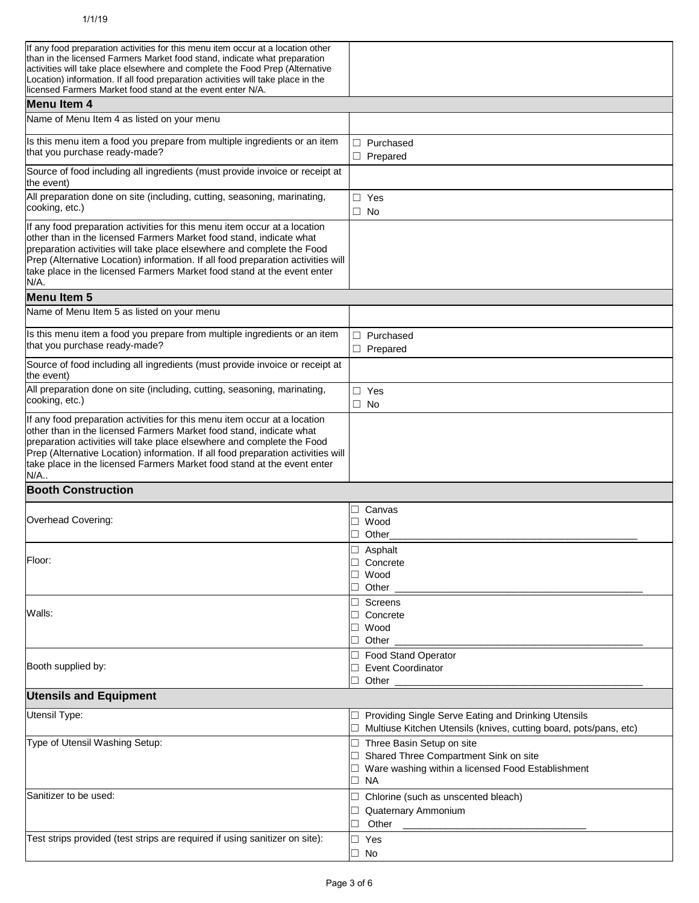| If any food preparation activities for this menu item occur at a location other<br>than in the licensed Farmers Market food stand, indicate what preparation<br>activities will take place elsewhere and complete the Food Prep (Alternative                                                                                                                                                      |                                                                                                                                            |
|---------------------------------------------------------------------------------------------------------------------------------------------------------------------------------------------------------------------------------------------------------------------------------------------------------------------------------------------------------------------------------------------------|--------------------------------------------------------------------------------------------------------------------------------------------|
| Location) information. If all food preparation activities will take place in the<br>licensed Farmers Market food stand at the event enter N/A.                                                                                                                                                                                                                                                    |                                                                                                                                            |
| <b>Menu Item 4</b>                                                                                                                                                                                                                                                                                                                                                                                |                                                                                                                                            |
| Name of Menu Item 4 as listed on your menu                                                                                                                                                                                                                                                                                                                                                        |                                                                                                                                            |
| Is this menu item a food you prepare from multiple ingredients or an item<br>that you purchase ready-made?                                                                                                                                                                                                                                                                                        | $\Box$ Purchased<br>$\Box$ Prepared                                                                                                        |
| Source of food including all ingredients (must provide invoice or receipt at<br>the event)                                                                                                                                                                                                                                                                                                        |                                                                                                                                            |
| All preparation done on site (including, cutting, seasoning, marinating,<br>cooking, etc.)                                                                                                                                                                                                                                                                                                        | $\Box$ Yes<br>$\Box$ No                                                                                                                    |
| If any food preparation activities for this menu item occur at a location<br>other than in the licensed Farmers Market food stand, indicate what<br>preparation activities will take place elsewhere and complete the Food<br>Prep (Alternative Location) information. If all food preparation activities will<br>take place in the licensed Farmers Market food stand at the event enter<br>N/A. |                                                                                                                                            |
| <b>Menu Item 5</b>                                                                                                                                                                                                                                                                                                                                                                                |                                                                                                                                            |
| Name of Menu Item 5 as listed on your menu                                                                                                                                                                                                                                                                                                                                                        |                                                                                                                                            |
| Is this menu item a food you prepare from multiple ingredients or an item<br>that you purchase ready-made?                                                                                                                                                                                                                                                                                        | $\Box$ Purchased<br>$\Box$ Prepared                                                                                                        |
| Source of food including all ingredients (must provide invoice or receipt at<br>the event)                                                                                                                                                                                                                                                                                                        |                                                                                                                                            |
| All preparation done on site (including, cutting, seasoning, marinating,<br>cooking, etc.)                                                                                                                                                                                                                                                                                                        | $\Box$ Yes<br>$\Box$ No                                                                                                                    |
| If any food preparation activities for this menu item occur at a location<br>other than in the licensed Farmers Market food stand, indicate what<br>preparation activities will take place elsewhere and complete the Food<br>Prep (Alternative Location) information. If all food preparation activities will<br>take place in the licensed Farmers Market food stand at the event enter<br>N/A  |                                                                                                                                            |
| <b>Booth Construction</b>                                                                                                                                                                                                                                                                                                                                                                         |                                                                                                                                            |
|                                                                                                                                                                                                                                                                                                                                                                                                   | Canvas<br>$\Box$                                                                                                                           |
| Overhead Covering:                                                                                                                                                                                                                                                                                                                                                                                | ⊐<br>Wood<br>Other                                                                                                                         |
| Floor:                                                                                                                                                                                                                                                                                                                                                                                            | □<br>Asphalt<br>$\Box$ Concrete<br>Wood<br>$\Box$ Other                                                                                    |
| Walls:                                                                                                                                                                                                                                                                                                                                                                                            | Screens<br>$\Box$ Concrete<br>$\Box$ Wood<br>$\Box$ Other                                                                                  |
| Booth supplied by:                                                                                                                                                                                                                                                                                                                                                                                | □ Food Stand Operator<br>□ Event Coordinator<br>$\Box$ Other                                                                               |
| <b>Utensils and Equipment</b>                                                                                                                                                                                                                                                                                                                                                                     |                                                                                                                                            |
| Utensil Type:                                                                                                                                                                                                                                                                                                                                                                                     | □ Providing Single Serve Eating and Drinking Utensils<br>□ Multiuse Kitchen Utensils (knives, cutting board, pots/pans, etc)               |
| Type of Utensil Washing Setup:                                                                                                                                                                                                                                                                                                                                                                    | □ Three Basin Setup on site<br>□ Shared Three Compartment Sink on site<br>□ Ware washing within a licensed Food Establishment<br>$\Box$ NA |
| Sanitizer to be used:                                                                                                                                                                                                                                                                                                                                                                             | $\Box$ Chlorine (such as unscented bleach)<br>Quaternary Ammonium<br>Other<br>$\Box$                                                       |
| Test strips provided (test strips are required if using sanitizer on site):                                                                                                                                                                                                                                                                                                                       | $\Box$ Yes<br>$\Box$ No                                                                                                                    |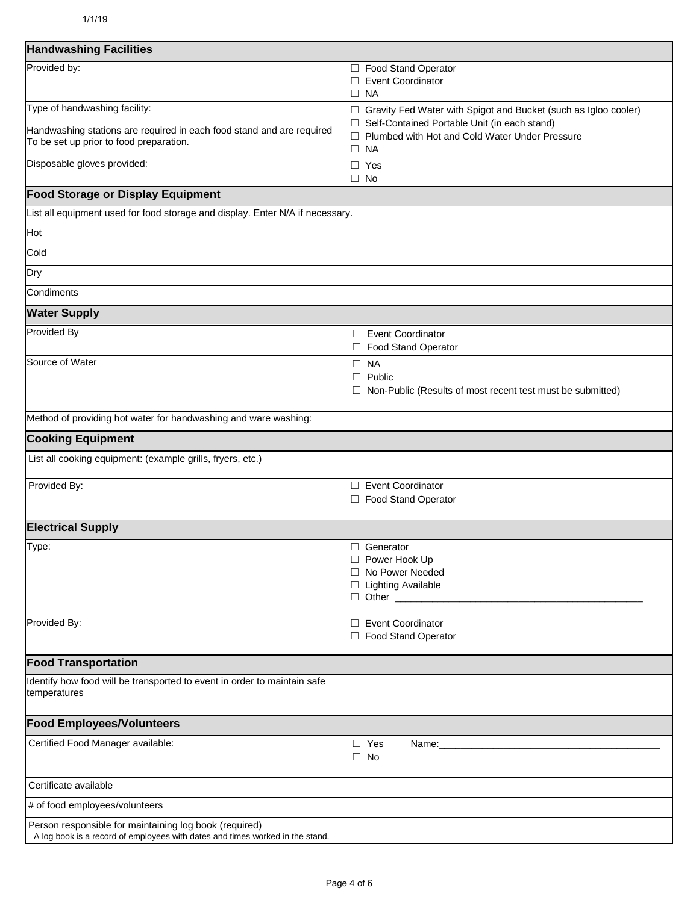| <b>Handwashing Facilities</b>                                                                                                           |                                                                                                                                                                                                                                                                                                                               |
|-----------------------------------------------------------------------------------------------------------------------------------------|-------------------------------------------------------------------------------------------------------------------------------------------------------------------------------------------------------------------------------------------------------------------------------------------------------------------------------|
| Provided by:                                                                                                                            | □ Food Stand Operator<br>□ Event Coordinator<br>⊐ NA                                                                                                                                                                                                                                                                          |
| Type of handwashing facility:                                                                                                           | □ Gravity Fed Water with Spigot and Bucket (such as Igloo cooler)                                                                                                                                                                                                                                                             |
| Handwashing stations are required in each food stand and are required<br>To be set up prior to food preparation.                        | □ Self-Contained Portable Unit (in each stand)<br>Plumbed with Hot and Cold Water Under Pressure<br>□<br>$\Box$ NA                                                                                                                                                                                                            |
| Disposable gloves provided:                                                                                                             | $\Box$ Yes<br>□ No                                                                                                                                                                                                                                                                                                            |
| <b>Food Storage or Display Equipment</b>                                                                                                |                                                                                                                                                                                                                                                                                                                               |
| List all equipment used for food storage and display. Enter N/A if necessary.                                                           |                                                                                                                                                                                                                                                                                                                               |
| Hot                                                                                                                                     |                                                                                                                                                                                                                                                                                                                               |
| Cold                                                                                                                                    |                                                                                                                                                                                                                                                                                                                               |
| Dry                                                                                                                                     |                                                                                                                                                                                                                                                                                                                               |
| Condiments                                                                                                                              |                                                                                                                                                                                                                                                                                                                               |
| <b>Water Supply</b>                                                                                                                     |                                                                                                                                                                                                                                                                                                                               |
| Provided By                                                                                                                             | □ Event Coordinator<br>□ Food Stand Operator                                                                                                                                                                                                                                                                                  |
| Source of Water                                                                                                                         | $\Box$ NA<br>$\Box$ Public<br>$\Box$ Non-Public (Results of most recent test must be submitted)                                                                                                                                                                                                                               |
| Method of providing hot water for handwashing and ware washing:                                                                         |                                                                                                                                                                                                                                                                                                                               |
| <b>Cooking Equipment</b>                                                                                                                |                                                                                                                                                                                                                                                                                                                               |
| List all cooking equipment: (example grills, fryers, etc.)                                                                              |                                                                                                                                                                                                                                                                                                                               |
| Provided By:                                                                                                                            | <b>Event Coordinator</b><br>⊐<br>Food Stand Operator                                                                                                                                                                                                                                                                          |
| <b>Electrical Supply</b>                                                                                                                |                                                                                                                                                                                                                                                                                                                               |
| Type:                                                                                                                                   | Generator<br>┚<br>Power Hook Up<br>$\Box$<br>□ No Power Needed<br>□ Lighting Available<br>□ Other <u>2000 - 2000 - 2000 - 2000 - 2000 - 2000 - 2000 - 2000 - 2000 - 2000 - 2000 - 2000 - 2000 - 2000 - 2000 - 2000 - 2000 - 2000 - 2000 - 2000 - 2000 - 2000 - 2000 - 2000 - 2000 - 2000 - 2000 - 2000 - 2000 - 2000 - 20</u> |
| Provided By:                                                                                                                            | □ Event Coordinator<br>□ Food Stand Operator                                                                                                                                                                                                                                                                                  |
| <b>Food Transportation</b>                                                                                                              |                                                                                                                                                                                                                                                                                                                               |
| Identify how food will be transported to event in order to maintain safe<br>temperatures                                                |                                                                                                                                                                                                                                                                                                                               |
| <b>Food Employees/Volunteers</b>                                                                                                        |                                                                                                                                                                                                                                                                                                                               |
| Certified Food Manager available:                                                                                                       | $\Box$ Yes<br>Name:<br>$\Box$ No                                                                                                                                                                                                                                                                                              |
| Certificate available                                                                                                                   |                                                                                                                                                                                                                                                                                                                               |
| # of food employees/volunteers                                                                                                          |                                                                                                                                                                                                                                                                                                                               |
| Person responsible for maintaining log book (required)<br>A log book is a record of employees with dates and times worked in the stand. |                                                                                                                                                                                                                                                                                                                               |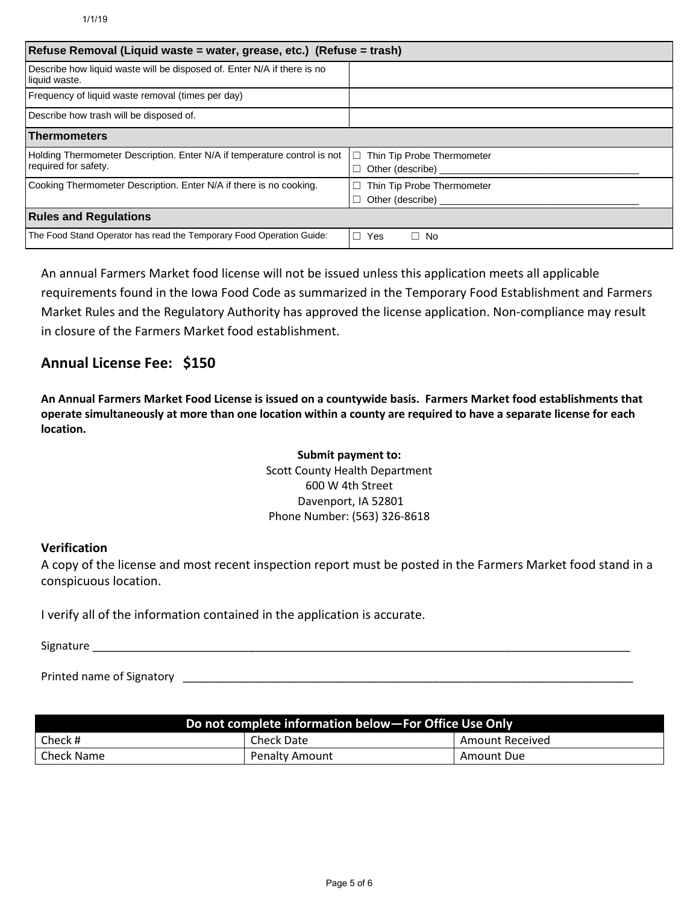| Refuse Removal (Liquid waste = water, grease, etc.) (Refuse = trash)                             |                                                           |  |
|--------------------------------------------------------------------------------------------------|-----------------------------------------------------------|--|
| Describe how liquid waste will be disposed of. Enter N/A if there is no<br>liquid waste.         |                                                           |  |
| Frequency of liquid waste removal (times per day)                                                |                                                           |  |
| Describe how trash will be disposed of.                                                          |                                                           |  |
| <b>Thermometers</b>                                                                              |                                                           |  |
| Holding Thermometer Description. Enter N/A if temperature control is not<br>required for safety. | Thin Tip Probe Thermometer<br>$\Box$<br>Other (describe)  |  |
| Cooking Thermometer Description. Enter N/A if there is no cooking.                               | Thin Tip Probe Thermometer<br>Other (describe) __________ |  |
| <b>Rules and Regulations</b>                                                                     |                                                           |  |
| The Food Stand Operator has read the Temporary Food Operation Guide:                             | $\Box$<br>Yes<br>$\Box$ No                                |  |

An annual Farmers Market food license will not be issued unless this application meets all applicable requirements found in the Iowa Food Code as summarized in the Temporary Food Establishment and Farmers Market Rules and the Regulatory Authority has approved the license application. Non-compliance may result in closure of the Farmers Market food establishment.

## **Annual License Fee: \$150**

**An Annual Farmers Market Food License is issued on a countywide basis. Farmers Market food establishments that operate simultaneously at more than one location within a county are required to have a separate license for each location.**

> **Submit payment to:**  Scott County Health Department 600 W 4th Street Davenport, IA 52801 Phone Number: (563) 326-8618

#### **Verification**

A copy of the license and most recent inspection report must be posted in the Farmers Market food stand in a conspicuous location.

I verify all of the information contained in the application is accurate.

Signature

Printed name of Signatory **Example 20** and the set of  $\frac{1}{2}$  and  $\frac{1}{2}$  and  $\frac{1}{2}$  and  $\frac{1}{2}$  and  $\frac{1}{2}$  and  $\frac{1}{2}$  and  $\frac{1}{2}$  and  $\frac{1}{2}$  and  $\frac{1}{2}$  and  $\frac{1}{2}$  and  $\frac{1}{2}$  and  $\frac{1}{2}$  and

| Do not complete information below-For Office Use Only |                       |                 |  |
|-------------------------------------------------------|-----------------------|-----------------|--|
| Check #                                               | <b>Check Date</b>     | Amount Received |  |
| Check Name                                            | <b>Penalty Amount</b> | Amount Due      |  |